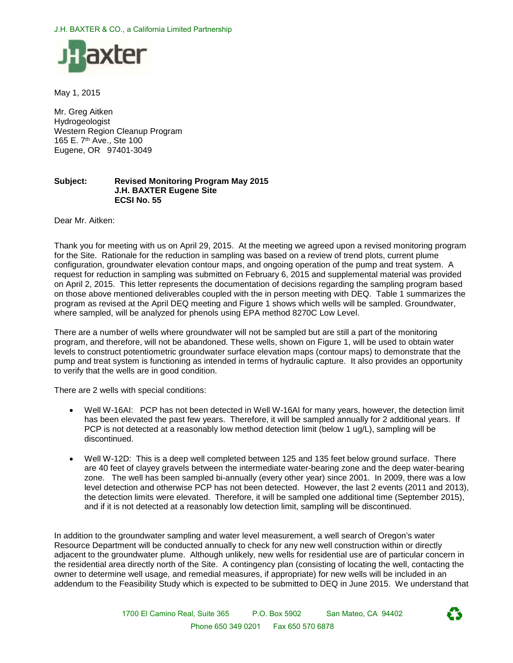

May 1, 2015

Mr. Greg Aitken Hydrogeologist Western Region Cleanup Program 165 E. 7th Ave., Ste 100 Eugene, OR 97401-3049

#### **Subject: Revised Monitoring Program May 2015 J.H. BAXTER Eugene Site ECSI No. 55**

Dear Mr. Aitken:

Thank you for meeting with us on April 29, 2015. At the meeting we agreed upon a revised monitoring program for the Site. Rationale for the reduction in sampling was based on a review of trend plots, current plume configuration, groundwater elevation contour maps, and ongoing operation of the pump and treat system. A request for reduction in sampling was submitted on February 6, 2015 and supplemental material was provided on April 2, 2015. This letter represents the documentation of decisions regarding the sampling program based on those above mentioned deliverables coupled with the in person meeting with DEQ. Table 1 summarizes the program as revised at the April DEQ meeting and Figure 1 shows which wells will be sampled. Groundwater, where sampled, will be analyzed for phenols using EPA method 8270C Low Level.

There are a number of wells where groundwater will not be sampled but are still a part of the monitoring program, and therefore, will not be abandoned. These wells, shown on Figure 1, will be used to obtain water levels to construct potentiometric groundwater surface elevation maps (contour maps) to demonstrate that the pump and treat system is functioning as intended in terms of hydraulic capture. It also provides an opportunity to verify that the wells are in good condition.

There are 2 wells with special conditions:

- Well W-16AI: PCP has not been detected in Well W-16AI for many years, however, the detection limit has been elevated the past few years. Therefore, it will be sampled annually for 2 additional years. If PCP is not detected at a reasonably low method detection limit (below 1 ug/L), sampling will be discontinued.
- Well W-12D: This is a deep well completed between 125 and 135 feet below ground surface. There are 40 feet of clayey gravels between the intermediate water-bearing zone and the deep water-bearing zone. The well has been sampled bi-annually (every other year) since 2001. In 2009, there was a low level detection and otherwise PCP has not been detected. However, the last 2 events (2011 and 2013), the detection limits were elevated. Therefore, it will be sampled one additional time (September 2015), and if it is not detected at a reasonably low detection limit, sampling will be discontinued.

In addition to the groundwater sampling and water level measurement, a well search of Oregon's water Resource Department will be conducted annually to check for any new well construction within or directly adjacent to the groundwater plume. Although unlikely, new wells for residential use are of particular concern in the residential area directly north of the Site. A contingency plan (consisting of locating the well, contacting the owner to determine well usage, and remedial measures, if appropriate) for new wells will be included in an addendum to the Feasibility Study which is expected to be submitted to DEQ in June 2015. We understand that

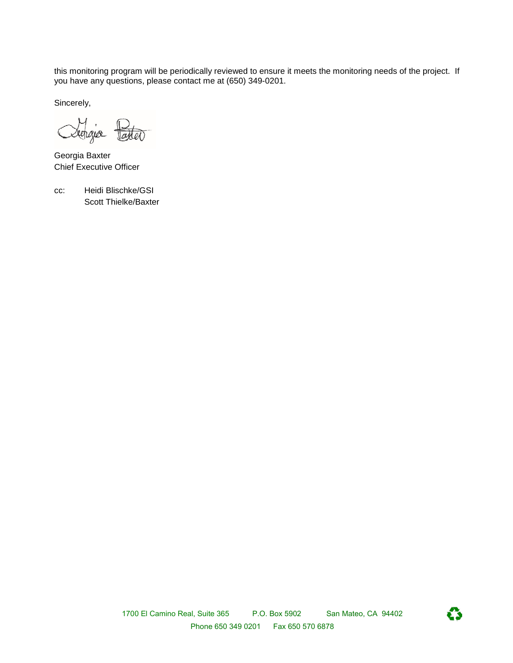this monitoring program will be periodically reviewed to ensure it meets the monitoring needs of the project. If you have any questions, please contact me at (650) 349-0201.

Sincerely,

Dechaja taxter

Georgia Baxter Chief Executive Officer

cc: Heidi Blischke/GSI Scott Thielke/Baxter

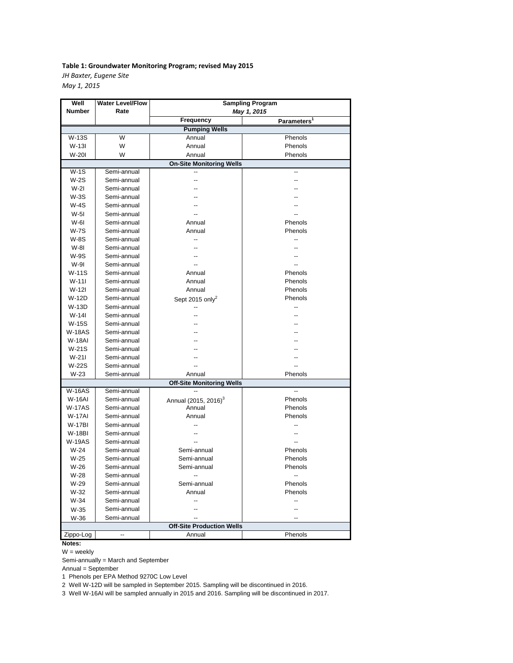### **Table 1: Groundwater Monitoring Program; revised May 2015** *JH Baxter, Eugene Site*

*May 1, 2015*

| Well                             | <b>Water Level/Flow</b> | <b>Sampling Program</b>          |                         |
|----------------------------------|-------------------------|----------------------------------|-------------------------|
| Number                           | Rate                    | May 1, 2015                      |                         |
|                                  |                         | <b>Frequency</b>                 | Parameters <sup>1</sup> |
| <b>Pumping Wells</b>             |                         |                                  |                         |
| W-13S                            | W                       | Annual                           | Phenols                 |
| W-13I                            | W                       | Annual                           | Phenols                 |
| W-20I                            | W                       | Annual                           | Phenols                 |
| <b>On-Site Monitoring Wells</b>  |                         |                                  |                         |
| W-1S                             | Semi-annual             |                                  |                         |
| W-2S                             | Semi-annual             |                                  |                         |
| $W-2I$                           | Semi-annual             |                                  |                         |
| $W-3S$                           | Semi-annual             |                                  |                         |
| W-4S                             | Semi-annual             |                                  |                         |
| W-51                             | Semi-annual             |                                  |                         |
| W-61                             | Semi-annual             | Annual                           | Phenols                 |
| W-7S                             | Semi-annual             | Annual                           | Phenols                 |
| W-8S                             | Semi-annual             |                                  | --                      |
| W-81                             | Semi-annual             |                                  |                         |
| <b>W-9S</b>                      | Semi-annual             |                                  |                         |
| W-91                             | Semi-annual             |                                  |                         |
| W-11S                            | Semi-annual             | Annual                           | Phenols                 |
| $W-111$                          | Semi-annual             | Annual                           | Phenols                 |
| W-12I                            | Semi-annual             | Annual                           | Phenols                 |
| W-12D                            | Semi-annual             |                                  | Phenols                 |
| W-13D                            | Semi-annual             | Sept 2015 only <sup>2</sup>      | --                      |
| $W-14I$                          | Semi-annual             |                                  |                         |
|                                  |                         |                                  |                         |
| W-15S                            | Semi-annual             |                                  |                         |
| <b>W-18AS</b>                    | Semi-annual             |                                  |                         |
| <b>W-18AI</b>                    | Semi-annual             |                                  |                         |
| W-21S                            | Semi-annual             |                                  |                         |
| $W-211$                          | Semi-annual             |                                  |                         |
| W-22S                            | Semi-annual             |                                  |                         |
| $W-23$                           | Semi-annual             | Annual                           | Phenols                 |
| <b>Off-Site Monitoring Wells</b> |                         |                                  |                         |
| <b>W-16AS</b>                    | Semi-annual             |                                  |                         |
| <b>W-16AI</b>                    | Semi-annual             | Annual (2015, 2016) <sup>3</sup> | Phenols                 |
| W-17AS                           | Semi-annual             | Annual                           | Phenols                 |
| <b>W-17AI</b>                    | Semi-annual             | Annual                           | Phenols                 |
| <b>W-17BI</b>                    | Semi-annual             |                                  | --                      |
| W-18BI                           | Semi-annual             |                                  |                         |
| W-19AS                           | Semi-annual             |                                  |                         |
| $W-24$                           | Semi-annual             | Semi-annual                      | Phenols                 |
| W-25                             | Semi-annual             | Semi-annual                      | Phenols                 |
| W-26                             | Semi-annual             | Semi-annual                      | Phenols                 |
| W-28                             | Semi-annual             |                                  |                         |
| W-29                             | Semi-annual             | Semi-annual                      | Phenols                 |
| W-32                             | Semi-annual             | Annual                           | Phenols                 |
| W-34                             | Semi-annual             | --                               | --                      |
| W-35                             | Semi-annual             |                                  | --                      |
| W-36                             | Semi-annual             | $\overline{\phantom{a}}$         |                         |
| <b>Off-Site Production Wells</b> |                         |                                  |                         |
| Zippo-Log                        |                         | Annual                           | Phenols                 |

**Notes:**

W = weekly

Semi-annually = March and September

Annual = September

1 Phenols per EPA Method 9270C Low Level

2 Well W-12D will be sampled in September 2015. Sampling will be discontinued in 2016.

3 Well W-16AI will be sampled annually in 2015 and 2016. Sampling will be discontinued in 2017.